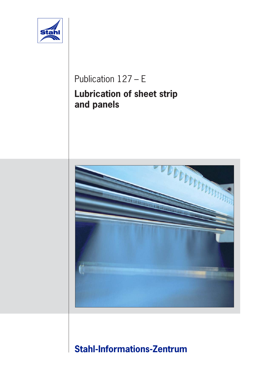

# Publication 127 – E **Lubrication of sheet strip and panels**



# **Stahl-Informations-Zentrum**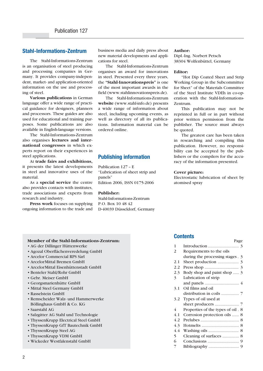# **Stahl-Informations-Zentrum**

The Stahl-Informations-Zentrum is an organisation of steel producing and processing companies in Germany. It provides company-independent, market- and application-oriented information on the use and processing of steel.

**Various publications** in German language offer a wide range of practical guidance for designers, planners and processors. These guides are also used for educational and training purposes. Some publications are also available in English-language versions.

The Stahl-Informations-Zentrum also organises **lectures and international congresses** in which experts report on their experiences in steel applications.

At **trade fairs and exhibitions,** it presents the latest developments in steel and innovative uses of the material.

As a **special service** the centre also provides contacts with institutes, trade associations and experts from research and industry.

**Press work** focuses on supplying ongoing information to the trade and business media and daily press about new material developments and applications for steel.

The Stahl-Informations-Zentrum organises an award for innovations in steel. Presented every three years, the **"Stahl-Innovationspreis"** is one of the most important awards in the field (www.stahlinnovationspreis.de).

The Stahl-Informations-Zentrum **website** (www.stahl-info.de) presents a wide range of information about steel, including upcoming events, as well as directory of all its publications. Information material can be ordered online.

# **Publishing information**

Publication 127 – E "Lubrication of sheet strip and panels" Edition 2006, ISSN 0175-2006

### **Publisher:**

Stahl-Informations-Zentrum P.O. Box 10 48 42 D-40039 Düsseldorf, Germany

#### **Author:**

Dipl.-Ing. Norbert Petsch 38304 Wolfenbüttel, Germany

#### **Editor:**

"Hot Dip Coated Sheet and Strip Working Group in the Subcommittee for Sheet" of the Materials Committee of the Steel Institute VDEh in co-operation with the Stahl-Informations-Zentrum.

This publication may not be reprinted in full or in part without prior written permission from the publisher. The source must always be quoted.

The greatest care has been taken in researching and compiling this publication. However, no responsibility can be accepted by the publishers or the compilers for the accuracy of the information presented.

### **Cover picture:**

Electrostatic lubrication of sheet by atomised spray

Page

### **Member of the Stahl-Informations-Zentrum:**

- AG der Dillinger Hüttenwerke
- Agozal Oberflächenveredelung GmbH
- Arcelor Commercial RPS Sàrl
- ArcelorMittal Bremen GmbH
- ArcelorMittal Eisenhüttenstadt GmbH
- Benteler Stahl/Rohr GmbH
- Gebr. Meiser GmbH
- Georgsmarienhütte GmbH
- Mittal Steel Germany GmbH
- Rasselstein GmbH
- Remscheider Walz- und Hammerwerke Böllinghaus GmbH & Co. KG
- Saarstahl AG
- Salzgitter AG Stahl und Technologie
- ThyssenKrupp Electrical Steel GmbH
- ThyssenKrupp GfT Bautechnik GmbH
- ThyssenKrupp Steel AG
- ThyssenKrupp VDM GmbH
- Wickeder Westfalenstahl GmbH

### **Contents**

| 1   |                                    |
|-----|------------------------------------|
| 2   | Requirements to the oils           |
|     | during the processing stages . 3   |
| 2.1 |                                    |
| 2.2 |                                    |
| 2.3 | Body shop and paint shop  3        |
| 3   | Lubrication of strip               |
|     |                                    |
| 3.1 | Oil films and oil                  |
|     |                                    |
| 3.2 | Types of oil used at               |
|     |                                    |
| 4   | Properties of the types of oil . 8 |
| 4.1 | Corrosion protection oils  8       |
| 4.2 |                                    |
| 4.3 |                                    |
| 4.4 |                                    |
| 5   | Cleaning of surfaces  8            |
| 6   |                                    |
| 7   |                                    |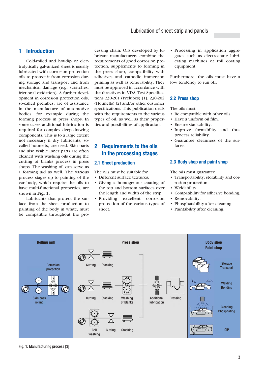# **1 Introduction**

Cold-rolled and hot-dip or electrolytically galvanized sheet is usually lubricated with corrosion protection oils to protect it from corrosion during storage and transport and from mechanical damage (e.g. scratches, frictional oxidation). A further development in corrosion protection oils, so-called prelubes, are of assistance in the manufacture of automotive bodies, for example during the forming process in press shops. In some cases additional lubrication is required for complex deep drawing components. This is to a large extent not necessary if dry lubricants, socalled hotmelts, are used. Skin parts and also visible inner parts are often cleaned with washing oils during the cutting of blanks process in press shops. The washing oil can serve as a forming aid as well. The various process stages up to painting of the car body, which require the oils to have multi-functional properties, are shown in **Fig. 1.**

Lubricants that protect the surface from the sheet production to painting of the body in white, must be compatible throughout the pro-

cessing chain. Oils developed by lubricant manufacturers combine the requirements of good corrosion protection, supplements to forming in the press shop, compatibility with adhesives and cathodic immersion priming as well as removability. They must be approved in accordance with the directives in VDA Test Specifications 230-201 (Prelubes) [1], 230-202 (Hotmelts) [2] and/or other customer specifications. This publication deals with the requirements to the various types of oil, as well as their properties and possibilities of application.

# **2 Requirements to the oils in the processing stages**

### **2.1 Sheet production**

The oils must be suitable for

- Different surface textures.
- Giving a homogenous coating of the top and bottom surfaces over the length and width of the strip.
- Providing excellent corrosion protection of the various types of sheet.

• Processing in application aggregates such as electrostatic lubricating machines or roll coating equipment.

Furthermore, the oils must have a low tendency to run off.

### **2.2 Press shop**

The oils must

- Be compatible with other oils.
- Have a uniform oil film.
- Ensure stackability.
- Improve formability and thus process reliability.
- Guarantee cleanness of the surfaces.

### **2.3 Body shop and paint shop**

The oils must guarantee

- Transportability, storability and corrosion protection.
- Weldability.
- Compatibility for adhesive bonding.
- Removability.
- Phosphatability after cleaning.
- Paintability after cleaning.



Fig. 1: Manufacturing process [3]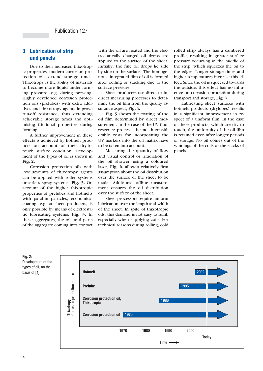# **3 Lubrication of strip and panels**

Due to their increased thixotropic properties, modern corrosion protection oils extend storage times. Thixotropy is the ability of materials to become more liquid under forming pressure, e.g. during pressing. Highly developed corrosion protection oils (prelubes) with extra additives and thixotropy agents improve run-off resistance, thus extending achievable storage times and optimising frictional properties during forming.

A further improvement in these effects is achieved by hotmelt products on account of their dry-totouch surface condition. Development of the types of oil is shown in **Fig. 2.**

Corrosion protection oils with low amounts of thixotropy agents can be applied with roller systems or airless spray systems, **Fig. 3.** On account of the higher thixotropic properties of prelubes and hotmelts with paraffin particles, economical coating, e.g. at sheet producers, is only possible by means of electrostatic lubricating systems, **Fig. 3.** In these aggregates, the oils and parts of the aggregate coming into contact

with the oil are heated and the electrostatically charged oil drops are applied to the surface of the sheet. Initially, the fine oil drops lie side by side on the surface. The homogenous, integrated film of oil is formed after coiling or stacking due to the surface pressure.

Sheet producers use direct or indirect measuring processes to determine the oil film from the quality assurance aspect, **Fig. 4.**

**Fig. 5** shows the coating of the oil film determined by direct measurement. In the case of the UV fluorescence process, the not inconsiderable costs for incorporating the UV markers into the oil matrix have to be taken into account.

Measuring the quantity of flow and visual control or irradiation of the oil shower using a coloured laser, **Fig. 6,** allow a relatively firm assumption about the oil distribution over the surface of the sheet to be made. Additional offline measurement ensures the oil distribution over the surface of the sheet.

Sheet processors require uniform lubrication over the length and width of the sheet. In spite of thixotropic oils, this demand is not easy to fulfil, especially when supplying coils. For technical reasons during rolling, cold rolled strip always has a cambered profile, resulting in greater surface pressure occurring in the middle of the strip, which squeezes the oil to the edges. Longer storage times and higher temperatures increase this effect. Since the oil is squeezed towards the outside, this effect has no influence on corrosion protection during transport and storage, **Fig. 7.**

Lubricating sheet surfaces with hotmelt products (drylubes) results in a significant improvement in respect of a uniform film. In the case of these products, which are dry to touch, the uniformity of the oil film is retained even after longer periods of storage. No oil comes out of the windings of the coils or the stacks of panels.



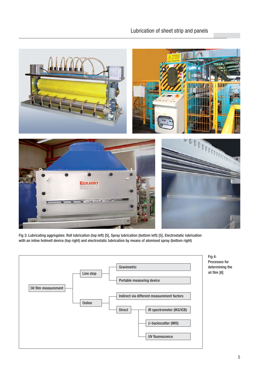# Lubrication of sheet strip and panels



Fig 3: Lubricating aggregates: Roll lubrication (top left) [5], Spray lubrication (bottom left) [5], Electrostatic lubrication with an inline hotmelt device (top right) and electrostatic lubrication by means of atomised spray (bottom right)

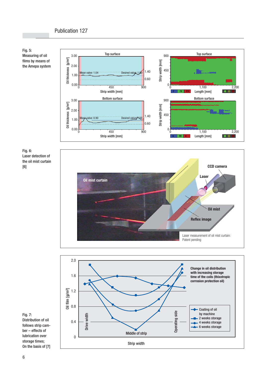



Fig. 6: Laser detection of the oil mist curtain [6]





Fig. 7: Distribution of oil follows strip camber – effects of lubrication over storage times; On the basis of [7]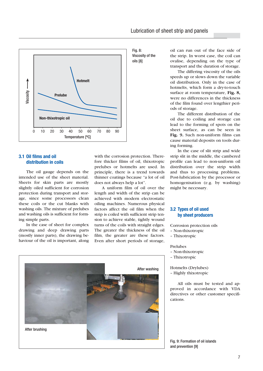



## **3.1 Oil films and oil distribution in coils**

The oil gauge depends on the intended use of the sheet material. Sheets for skin parts are mostly slightly oiled sufficient for corrosion protection during transport and storage, since some processors clean these coils or the cut blanks with washing oils. The mixture of prelubes and washing oils is sufficient for forming simple parts.

In the case of sheet for complex drawing and deep drawing parts (mostly inner parts), the drawing behaviour of the oil is important, along

with the corrosion protection. Therefore thicker films of oil, thixotropic prelubes or hotmelts are used. In principle, there is a trend towards thinner coatings because "a lot of oil does not always help a lot".

A uniform film of oil over the length and width of the strip can be achieved with modern electrostatic oiling machines. Numerous physical factors affect the oil film when the strip is coiled with sufficient strip tension to achieve stable, tightly wound turns of the coils with straight edges. The greater the thickness of the oil film, the greater are these factors. Even after short periods of storage, oil can run out of the face side of the strip. In worst case, the coil can ovalise, depending on the type of transport and the duration of storage.

The differing viscosity of the oils speeds up or slows down the variable oil distribution. Only in the case of hotmelts, which form a dry-to-touch surface at room temperature, **Fig. 8,** were no differences in the thickness of the film found over lengthier periods of storage.

The different distribution of the oil due to coiling and storage can lead to the forming of spots on the sheet surface, as can be seen in **Fig. 9.** Such non-uniform films can cause material deposits on tools during forming.

In the case of slit strip and wide strip slit in the middle, the cambered profile can lead to non-uniform oil distribution over the strip width and thus to processing problems. Post-lubrication by the processor or homogenisation (e.g. by washing) might be necessary.

### **3.2 Types of oil used by sheet producers**

Corrosion protection oils

- Non-thixotropic
- Thixotropic

### Prelubes

- Non-thixotropic
- Thixotropic

Hotmelts (Drylubes) – Highly thixotropic

All oils must be tested and approved in accordance with VDA directives or other customer specifications.



Fig. 9: Formation of oil islands and prevention [9]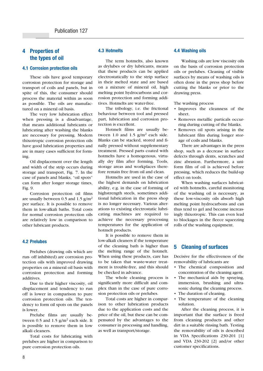# **4 Properties of the types of oil**

### **4.1 Corrosion protection oils**

These oils have good temporary corrosion protection for storage and transport of coils and panels, but in spite of this, the consumer should process the material within as soon as possible. The oils are manufactured on a mineral oil basis.

The very low lubrication effect when pressing is a disadvantage, that means additional lubricants or lubricating after washing the blanks are necessary for pressing. Modern thixotropic corrosion protection oils have good lubrication properties and are in many cases sufficient for forming.

Oil displacement over the length and width of the strip occurs during storage and transport, Fig. 7. In the case of panels and blanks, "oil spots" can form after longer storage times, Fig. 9.

Corrosion protection oil films are usually between 0.5 and 1.5  $g/m^2$ per surface. It is possible to remove them in low-alkali baths. Total costs for normal corrosion protection oils are relatively low in comparison to other lubricant products.

### **4.2 Prelubes**

Prelubes (drawing oils which are run- off inhibited) are corrosion protection oils with improved drawing properties on a mineral oil basis with corrosion protection and forming additives.

Due to their higher viscosity, oil displacement and tendency to run off is lower in comparison to pure corrosion protection oils. The tendency to form oil spots on the panels is lower.

Prelube films are usually between  $0.5$  and  $1.5$  g/m<sup>2</sup> each side. It is possible to remove them in low alkali cleaners.

Total costs for lubricating with prelubes are higher in comparison to pure corrosion protection oils.

### **4.3 Hotmelts**

The term hotmelts, also known as drylubes or dry lubricants, means that these products can be applied electrostatically to the strip surface in their melted state and are based on a mixture of mineral oil, high melting point hydrocarbons and corrosion protection and forming additives. Hotmelts are water-free.

The tribology, i.e. the frictional behaviour between tool and pressed part, lubrication and corrosion protection is excellent.

Hotmelt films are usually between 1.0 and 1.5  $g/m^2$  each side. Blanks can be stacked, stored and finally pressed without supplementary treatment. Pressed parts coated with hotmelts have a homogenous, virtually dry film after forming. Tools, storage areas and workplaces therefore remain free from oil and clean.

Hotmelts are used in the case of the highest demands on lubrication ability, e.g. in the case of forming of highstrength steels, sometimes additional lubrication in the press shop is no longer necessary. Various alterations to existing electrostatic lubricating machines are required to achieve the necessary processing temperatures for the application of hotmelt products.

It is possible to remove them in low-alkali cleaners if the temperature of the cleaning bath is higher than the melting range of the hotmelt. When using these products, care has to be taken that waste-water treatment is trouble-free, and this should be checked in advance.

The whole cleaning process is significantly more difficult and complex than in the case of pure corrosion protection oils or prelubes.

Total costs are higher in comparison to other lubrication products due to the application costs and the price of the oil, but these can be compensated by the advantages to the consumer in processing and handling, as well as transport/storage.

### **4.4 Washing oils**

Washing oils are low viscosity oils on the basis of corrosion protection oils or prelubes. Cleaning of visible surfaces by means of washing oils is often done in the press shop before cutting the blanks or prior to the drawing press.

The washing process

- Improves the cleanness of the sheet.
- Removes metallic particals occurring during cutting of the blanks.
- Removes oil spots arising in the lubricant film during longer storage of coils and blanks.

There are advantages in the press shop, such as a decrease in surface defects through dents, scratches and zinc abrasion. Furthermore, a uniform film of oil is achieved before pressing, which reduces the build-up effect on tools.

When washing surfaces lubricated with hotmelts, careful monitoring of the washing oil is necessary, as these low-viscosity oils absorb high melting point hydrocarbons and can thus tend to gel and become increasingly thixotropic. This can even lead to blockages in the fleece squeezing rolls of the washing equipment.

### **5 Cleaning of surfaces**

Decisive for the effectiveness of the removability of lubricants are

- The chemical composition and concentration of the cleaning agent.
- The mechanical aids by spraying, immersion, brushing and ultrasonic during the cleaning process.
- The duration of cleaning.
- The temperature of the cleaning solution.

After the cleaning process, it is important that the surface is freed from cleaning products and other dirt in a suitable rinsing bath. Testing the removability of oils is described in VDA Specifications 230-201 [1] and VDA 230-202 [2] and/or other customer specifications.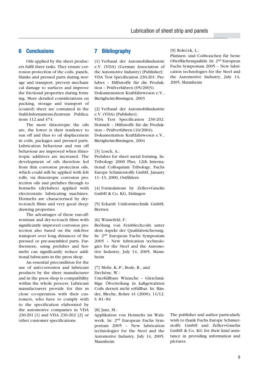### **6 Conclusions**

Oils applied by the sheet producers fulfil three tasks. They ensure corrosion protection of the coils, panels, blanks and pressed parts during storage and transport, prevent mechanical damage to surfaces and improve the frictional properties during forming. More detailed considerations on packing, storage and transport of (coated) sheet are contained in the Stahl-Informations-Zentrum Publications 112 and 474.

The more thixotropic the oils are, the lower is their tendency to run off and thus to oil displacement in coils, packages and pressed parts. Lubrication behaviour and run off behaviour are improved when thixotropic additives are increased. The development of oils therefore led from thin corrosion protection oils, which could still be applied with felt rolls, via thixotropic corrosion protection oils and prelubes through to hotmelts (drylubes) applied with electrostatic lubricating machines. Hotmelts are characterised by dryto-touch films and very good deepdrawing properties.

The advantages of these run-offresistant and dry-to-touch films with significantly improved corrosion protection also based on the risk-free transport over long distances of the pressed or pre-assembled parts. Furthermore, using prelubes and hotmelts can significantly reduce additional lubricants in the press shop.

An essential precondition for the use of anti-corrosion and lubricant products by the sheet manufacturer and in the press shop is compatibility within the whole process. Lubricant manufacturers provide for this in close co-operation with their customers, who have to comply with to the specification elaborated by the automotive companies in VDA 230-201 [1] and VDA 230-202 [2] or other customer specifications.

# **7 Bibliography**

[1] Verband der Automobilindustrie e.V. (VDA) (German Association of the Automotive Industry) [Publisher]: VDA Test Specification 230-201: Prelubes – Hilfsstoffe für die Produktion – Prüfverfahren (05/2003). Dokumentation Kraftfahrwesen e.V., Bietigheim-Bissingen, 2003

[2] Verband der Automobilindustrie e.V. (VDA) [Publisher]: VDA Test Specification 230-202:

Hotmelt – Hilfsstoffe für die Produktion – Prüfverfahren (10/2004). Dokumentation Kraftfahrwesen e.V., Bietigheim-Bissingen, 2004

#### [3] Losch, A.:

Prelubes for sheet metal forming. In: Tribology 2000 Plus, 12th International Colloquium Tribology, Fuchs Europe Schmierstoffe GmbH, January 11–13, 2000, Ostfildern

[4] Formulations by Zeller+Gmelin GmbH & Co. KG, Eislingen

[5] Eckardt Umformtechnik GmbH, Bretten

[6] Wüstefeld, F.:

Beölung von Feinblechcoils unter dem Aspekt der Qualitätssicherung. In: 2nd European Fuchs Symposium 2005 – New lubrication technologies for the Steel and the Automotive Industry, July 14, 2005, Mannheim

[7] Mohr, K.-P.; Bode, R., and Dechêne, W.:

Unerfüllbare Wünsche – Gleichmäßige Ölverteilung in kaltgewalzten Coils derzeit nicht erfüllbar. In: Bänder, Bleche, Rohre 41 (2000), 11/12, S. 81–84

[8] Janz, M.:

Applikation von Hotmelts im Walzwerk. In: 2nd European Fuchs Symposium 2005 – New lubrication technologies for the Steel and the Automotive Industry, July 14, 2005, Mannheim

The publisher and author particularly wish to thank Fuchs Europe Schmierstoffe GmbH and Zeller+Gmelin GmbH & Co. KG for their kind assistance in providing information and pictures.

[9] Roleček, L.:

Platinen- und Coilwaschen für beste Oberflächenqualität. In: 2nd European Fuchs Symposium 2005 – New lubrication technologies for the Steel and the Automotive Industry, July 14, 2005, Mannheim